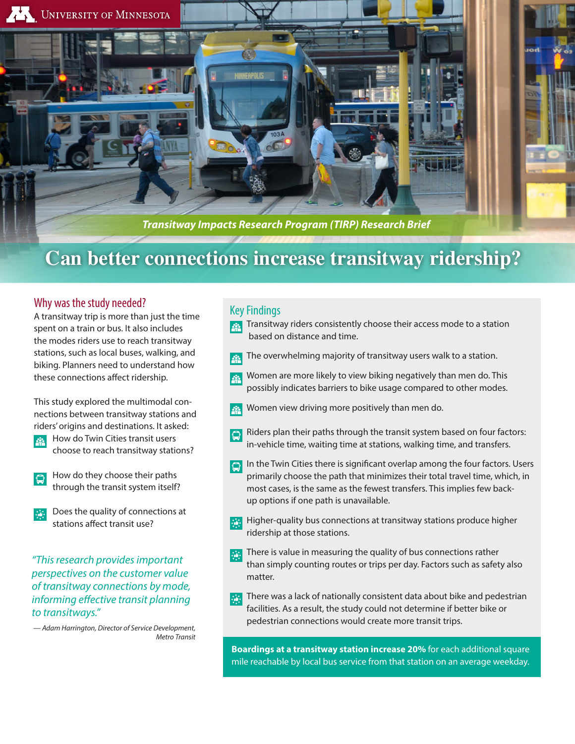

# **Can better connections increase transitway ridership?**

#### Why was the study needed?

A transitway trip is more than just the time spent on a train or bus. It also includes the modes riders use to reach transitway stations, such as local buses, walking, and biking. Planners need to understand how these connections affect ridership.

This study explored the multimodal connections between transitway stations and riders' origins and destinations. It asked:

- How do Twin Cities transit users  $202$ choose to reach transitway stations?
- How do they choose their paths through the transit system itself?
- Does the quality of connections at stations affect transit use?

*"This research provides important perspectives on the customer value of transitway connections by mode, informing effective transit planning to transitways."*

*— Adam Harrington, Director of Service Development, Metro Transit*

#### Key Findings

- Transitway riders consistently choose their access mode to a station  $|\mathcal{L}_\mathcal{L}|$ based on distance and time.
- The overwhelming majority of transitway users walk to a station.
- Women are more likely to view biking negatively than men do. This  $\mathbf{E}$ possibly indicates barriers to bike usage compared to other modes.
- Women view driving more positively than men do.
- Riders plan their paths through the transit system based on four factors:  $\blacksquare$ in-vehicle time, waiting time at stations, walking time, and transfers.
- In the Twin Cities there is significant overlap among the four factors. Users primarily choose the path that minimizes their total travel time, which, in most cases, is the same as the fewest transfers. This implies few backup options if one path is unavailable.
- Higher-quality bus connections at transitway stations produce higher 蒜 ridership at those stations.
- There is value in measuring the quality of bus connections rather than simply counting routes or trips per day. Factors such as safety also matter.
- There was a lack of nationally consistent data about bike and pedestrian 鄙 facilities. As a result, the study could not determine if better bike or pedestrian connections would create more transit trips.

**Boardings at a transitway station increase 20%** for each additional square mile reachable by local bus service from that station on an average weekday.